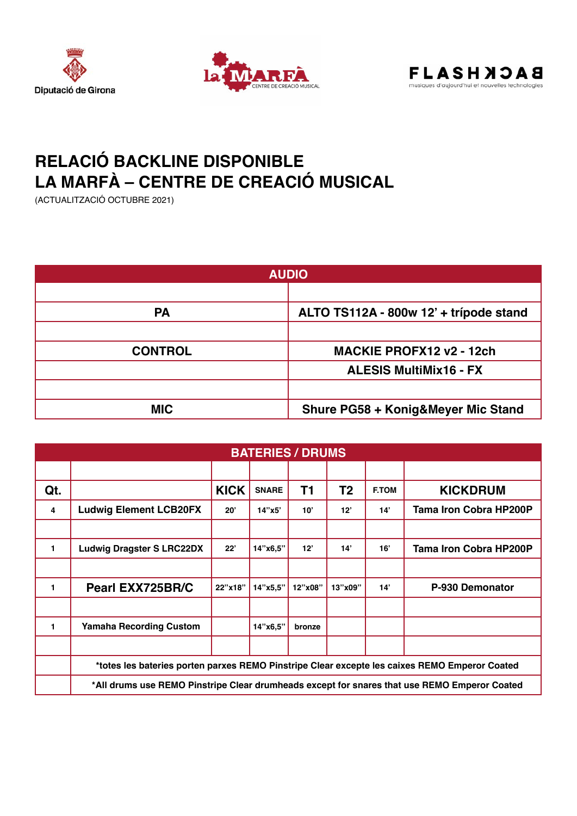





## **RELACIÓ BACKLINE DISPONIBLE LA MARFÀ – CENTRE DE CREACIÓ MUSICAL**

(ACTUALITZACIÓ OCTUBRE 2021)

| <b>AUDIO</b>   |                                               |  |  |  |
|----------------|-----------------------------------------------|--|--|--|
|                |                                               |  |  |  |
| <b>PA</b>      | ALTO TS112A - 800w 12' + trípode stand        |  |  |  |
|                |                                               |  |  |  |
| <b>CONTROL</b> | <b>MACKIE PROFX12 v2 - 12ch</b>               |  |  |  |
|                | <b>ALESIS MultiMix16 - FX</b>                 |  |  |  |
|                |                                               |  |  |  |
| <b>MIC</b>     | <b>Shure PG58 + Konig&amp;Meyer Mic Stand</b> |  |  |  |

| <b>BATERIES / DRUMS</b> |                                                                                               |             |              |         |                |              |                               |
|-------------------------|-----------------------------------------------------------------------------------------------|-------------|--------------|---------|----------------|--------------|-------------------------------|
|                         |                                                                                               |             |              |         |                |              |                               |
| Qt.                     |                                                                                               | <b>KICK</b> | <b>SNARE</b> | T1      | T <sub>2</sub> | <b>F.TOM</b> | <b>KICKDRUM</b>               |
| 4                       | <b>Ludwig Element LCB20FX</b>                                                                 | 20'         | 14"x5"       | 10'     | 12"            | 14'          | <b>Tama Iron Cobra HP200P</b> |
|                         |                                                                                               |             |              |         |                |              |                               |
| $\mathbf{1}$            | <b>Ludwig Dragster S LRC22DX</b>                                                              | 22"         | 14"x6,5"     | 12"     | 14'            | 16'          | <b>Tama Iron Cobra HP200P</b> |
|                         |                                                                                               |             |              |         |                |              |                               |
| 1                       | Pearl EXX725BR/C                                                                              | 22"x18"     | 14"x5,5"     | 12"x08" | 13"x09"        | 14'          | P-930 Demonator               |
|                         |                                                                                               |             |              |         |                |              |                               |
| 1                       | <b>Yamaha Recording Custom</b>                                                                |             | 14"x6,5"     | bronze  |                |              |                               |
|                         |                                                                                               |             |              |         |                |              |                               |
|                         | *totes les bateries porten parxes REMO Pinstripe Clear excepte les caixes REMO Emperor Coated |             |              |         |                |              |                               |
|                         | *All drums use REMO Pinstripe Clear drumheads except for snares that use REMO Emperor Coated  |             |              |         |                |              |                               |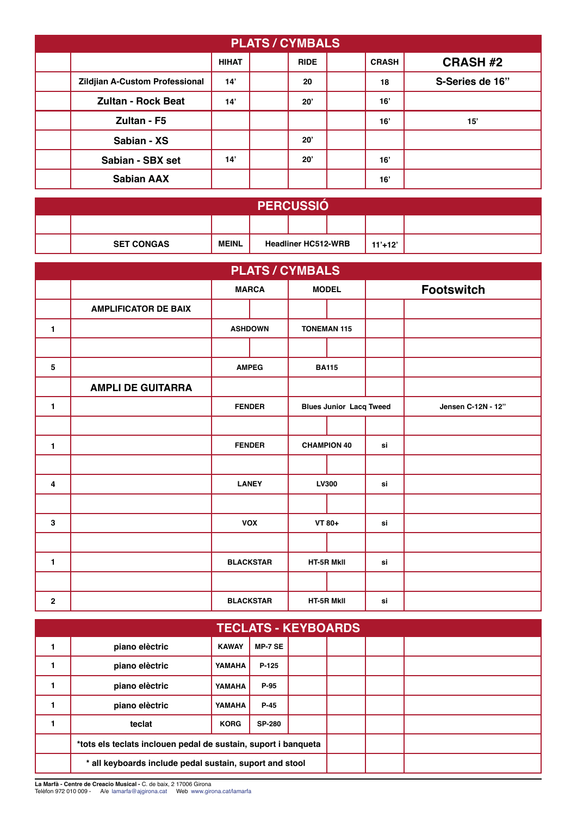| <b>PLATS / CYMBALS</b>                |              |  |             |  |              |                 |  |
|---------------------------------------|--------------|--|-------------|--|--------------|-----------------|--|
|                                       | <b>HIHAT</b> |  | <b>RIDE</b> |  | <b>CRASH</b> | <b>CRASH #2</b> |  |
| <b>Zildjian A-Custom Professional</b> | 14'          |  | 20          |  | 18           | S-Series de 16" |  |
| <b>Zultan - Rock Beat</b>             | 14'          |  | 20'         |  | 16'          |                 |  |
| Zultan - F5                           |              |  |             |  | 16'          | 15'             |  |
| Sabian - XS                           |              |  | 20'         |  |              |                 |  |
| Sabian - SBX set                      | 14'          |  | 20'         |  | 16'          |                 |  |
| <b>Sabian AAX</b>                     |              |  |             |  | 16'          |                 |  |

| <b>PERCUSSIO</b>  |              |                            |  |  |             |  |
|-------------------|--------------|----------------------------|--|--|-------------|--|
|                   |              |                            |  |  |             |  |
| <b>SET CONGAS</b> | <b>MEINL</b> | <b>Headliner HC512-WRB</b> |  |  | $11' + 12'$ |  |

| <b>PLATS / CYMBALS</b> |                             |                  |                |                                |  |    |                    |
|------------------------|-----------------------------|------------------|----------------|--------------------------------|--|----|--------------------|
|                        |                             | <b>MARCA</b>     |                | <b>MODEL</b>                   |  |    | <b>Footswitch</b>  |
|                        | <b>AMPLIFICATOR DE BAIX</b> |                  |                |                                |  |    |                    |
| $\mathbf{1}$           |                             |                  | <b>ASHDOWN</b> | <b>TONEMAN 115</b>             |  |    |                    |
|                        |                             |                  |                |                                |  |    |                    |
| 5                      |                             |                  | <b>AMPEG</b>   | <b>BA115</b>                   |  |    |                    |
|                        | <b>AMPLI DE GUITARRA</b>    |                  |                |                                |  |    |                    |
| $\mathbf{1}$           |                             | <b>FENDER</b>    |                | <b>Blues Junior Lacq Tweed</b> |  |    | Jensen C-12N - 12" |
|                        |                             |                  |                |                                |  |    |                    |
| $\mathbf{1}$           |                             | <b>FENDER</b>    |                | <b>CHAMPION 40</b>             |  | si |                    |
|                        |                             |                  |                |                                |  |    |                    |
| 4                      |                             | <b>LANEY</b>     |                | LV300                          |  | si |                    |
|                        |                             |                  |                |                                |  |    |                    |
| $\mathbf 3$            |                             | <b>VOX</b>       |                | VT 80+                         |  | si |                    |
|                        |                             |                  |                |                                |  |    |                    |
| $\mathbf{1}$           |                             | <b>BLACKSTAR</b> |                | HT-5R MkII                     |  | si |                    |
|                        |                             |                  |                |                                |  |    |                    |
| $\overline{2}$         |                             | <b>BLACKSTAR</b> |                | HT-5R MkII                     |  | si |                    |

| <b>TECLATS - KEYBOARDS</b>                                     |                |              |                |  |  |  |
|----------------------------------------------------------------|----------------|--------------|----------------|--|--|--|
|                                                                | piano elèctric | <b>KAWAY</b> | <b>MP-7 SE</b> |  |  |  |
| 1                                                              | piano elèctric | YAMAHA       | P-125          |  |  |  |
| 1                                                              | piano elèctric | YAMAHA       | P-95           |  |  |  |
|                                                                | piano elèctric | YAMAHA       | $P-45$         |  |  |  |
| 1                                                              | teclat         | <b>KORG</b>  | <b>SP-280</b>  |  |  |  |
| *tots els teclats inclouen pedal de sustain, suport i banqueta |                |              |                |  |  |  |
| * all keyboards include pedal sustain, suport and stool        |                |              |                |  |  |  |

**La Marfà - Centre de Creacio Musical -** C. de baix, 2 17006 Girona<br>Telèfon 972 010 009 - A/e lamarfa@ajgirona.cat Web www.girona.cat/lamarfa